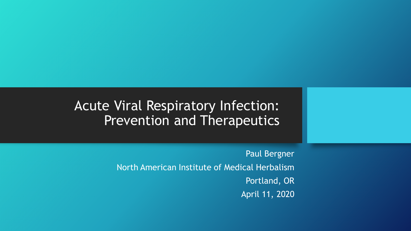#### Acute Viral Respiratory Infection: Prevention and Therapeutics

Paul Bergner North American Institute of Medical Herbalism Portland, OR April 11, 2020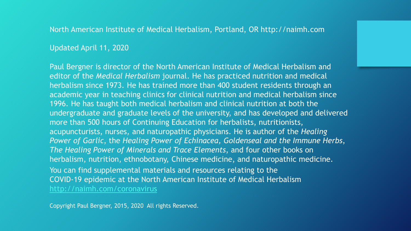North American Institute of Medical Herbalism, Portland, OR http://naimh.com

Updated April 11, 2020

You can find supplemental materials and resources relating to the COVID-19 epidemic at the North American Institute of Medical Herbalism <http://naimh.com/coronavirus> Paul Bergner is director of the North American Institute of Medical Herbalism and editor of the *Medical Herbalism* journal. He has practiced nutrition and medical herbalism since 1973. He has trained more than 400 student residents through an academic year in teaching clinics for clinical nutrition and medical herbalism since 1996. He has taught both medical herbalism and clinical nutrition at both the undergraduate and graduate levels of the university, and has developed and delivered more than 500 hours of Continuing Education for herbalists, nutritionists, acupuncturists, nurses, and naturopathic physicians. He is author of the *Healing Power of Garlic*, the *Healing Power of Echinacea, Goldenseal and the Immune Herbs*, *The Healing Power of Minerals and Trace Elements*, and four other books on herbalism, nutrition, ethnobotany, Chinese medicine, and naturopathic medicine.

Copyright Paul Bergner, 2015, 2020 All rights Reserved.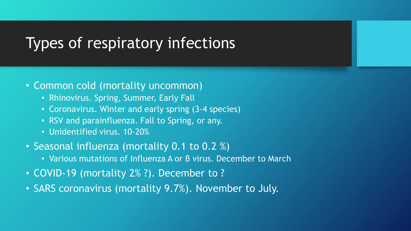## Types of respiratory infections

#### • Common cold (mortality uncommon)

- Rhinovirus. Spring, Summer, Early Fall
- Coronavirus. Winter and early spring (3-4 species)
- RSV and parainfluenza. Fall to Spring, or any.
- Unidentified virus. 10-20%
- Seasonal influenza (mortality 0.1 to 0.2 %)
	- Various mutations of Influenza A or B virus. December to March
- COVID-19 (mortality 2% ?). December to ?
- SARS coronavirus (mortality 9.7%). November to July.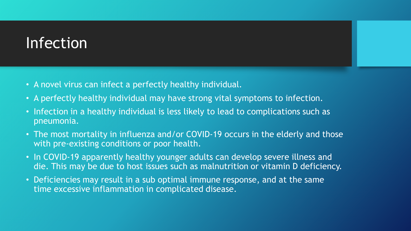# Infection

- A novel virus can infect a perfectly healthy individual.
- A perfectly healthy individual may have strong vital symptoms to infection.
- Infection in a healthy individual is less likely to lead to complications such as pneumonia.
- The most mortality in influenza and/or COVID-19 occurs in the elderly and those with pre-existing conditions or poor health.
- In COVID-19 apparently healthy younger adults can develop severe illness and die. This may be due to host issues such as malnutrition or vitamin D deficiency.
- Deficiencies may result in a sub optimal immune response, and at the same time excessive inflammation in complicated disease.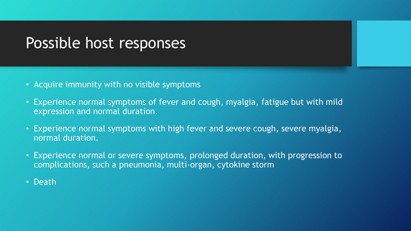## Possible host responses

- Acquire immunity with no visible symptoms
- Experience normal symptoms of fever and cough, myalgia, fatigue but with mild expression and normal duration.
- Experience normal symptoms with high fever and severe cough, severe myalgia, normal duration.
- Experience normal or severe symptoms, prolonged duration, with progression to complications, such a pneumonia, multi-organ, cytokine storm
- Death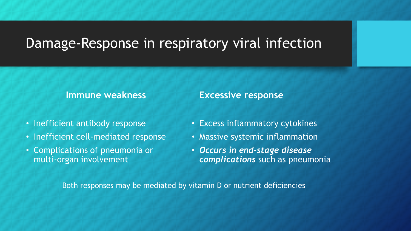#### Damage-Response in respiratory viral infection

#### **Immune weakness**

- Inefficient antibody response
- Inefficient cell-mediated response
- Complications of pneumonia or multi-organ involvement

#### **Excessive response**

- Excess inflammatory cytokines
- Massive systemic inflammation
- *Occurs in end-stage disease complications* such as pneumonia

Both responses may be mediated by vitamin D or nutrient deficiencies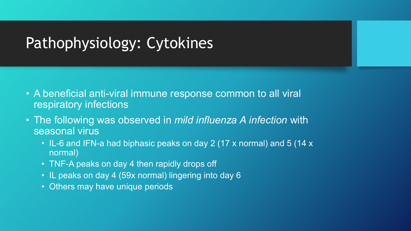# Pathophysiology: Cytokines

- A beneficial anti-viral immune response common to all viral respiratory infections
- The following was observed in *mild influenza A infection* with seasonal virus
	- IL-6 and IFN-a had biphasic peaks on day 2 (17 x normal) and 5 (14 x normal)
	- TNF-A peaks on day 4 then rapidly drops off
	- IL peaks on day 4 (59x normal) lingering into day 6
	- Others may have unique periods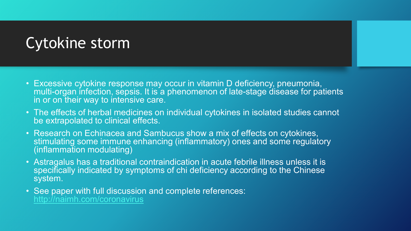# Cytokine storm

- Excessive cytokine response may occur in vitamin D deficiency, pneumonia, multi-organ infection, sepsis. It is a phenomenon of late-stage disease for patients in or on their way to intensive care.
- The effects of herbal medicines on individual cytokines in isolated studies cannot be extrapolated to clinical effects.
- Research on Echinacea and Sambucus show a mix of effects on cytokines, stimulating some immune enhancing (inflammatory) ones and some regulatory (inflammation modulating)
- Astragalus has a traditional contraindication in acute febrile illness unless it is specifically indicated by symptoms of chi deficiency according to the Chinese system.
- See paper with full discussion and complete references: <http://naimh.com/coronavirus>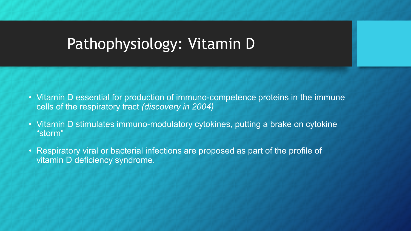# Pathophysiology: Vitamin D

- Vitamin D essential for production of immuno-competence proteins in the immune cells of the respiratory tract *(discovery in 2004)*
- Vitamin D stimulates immuno-modulatory cytokines, putting a brake on cytokine "storm"
- Respiratory viral or bacterial infections are proposed as part of the profile of vitamin D deficiency syndrome.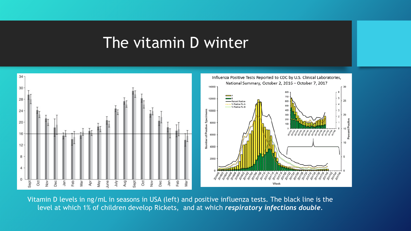#### The vitamin D winter



Vitamin D levels in ng/mL in seasons in USA (left) and positive influenza tests. The black line is the level at which 1% of children develop Rickets, and at which *respiratory infections double*.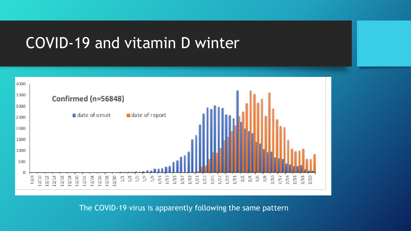## COVID-19 and vitamin D winter



The COVID-19 virus is apparently following the same pattern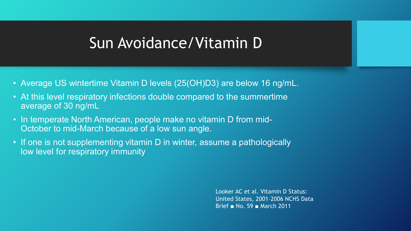#### Sun Avoidance/Vitamin D

- Average US wintertime Vitamin D levels (25(OH)D3) are below 16 ng/mL.
- At this level respiratory infections double compared to the summertime average of 30 ng/mL
- In temperate North American, people make no vitamin D from mid-October to mid-March because of a low sun angle.
- If one is not supplementing vitamin D in winter, assume a pathologically low level for respiratory immunity

Looker AC et al. Vitamin D Status: United States, 2001–2006 NCHS Data Brief ■ No. 59 ■ March 2011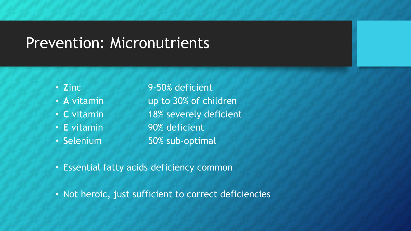## Prevention: Micronutrients

- 
- 
- 
- 
- 

• **Z**inc 9-50% deficient • A vitamin **up to 30% of children** • **C** vitamin 18% severely deficient • **E** vitamin **90% deficient** • Selenium 50% sub-optimal

- Essential fatty acids deficiency common
- Not heroic, just sufficient to correct deficiencies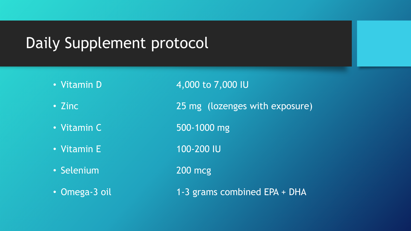## Daily Supplement protocol

- Vitamin D 4,000 to 7,000 IU
- Zinc 25 mg (lozenges with exposure)
- Vitamin C 500-1000 mg
- 
- Selenium 200 mcg
- 
- Vitamin E 100-200 IU
	-
- Omega-3 oil 1-3 grams combined EPA + DHA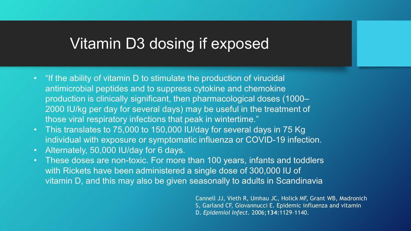### Vitamin D3 dosing if exposed

- "If the ability of vitamin D to stimulate the production of virucidal antimicrobial peptides and to suppress cytokine and chemokine production is clinically significant, then pharmacological doses (1000– 2000 IU/kg per day for several days) may be useful in the treatment of those viral respiratory infections that peak in wintertime."
- This translates to 75,000 to 150,000 IU/day for several days in 75 Kg individual with exposure or symptomatic influenza or COVID-19 infection.
- Alternately, 50,000 IU/day for 6 days.
- These doses are non-toxic. For more than 100 years, infants and toddlers with Rickets have been administered a single dose of 300,000 IU of vitamin D, and this may also be given seasonally to adults in Scandinavia

Cannell JJ, Vieth R, Umhau JC, Holick MF, Grant WB, Madronich S, Garland CF, Giovannucci E. Epidemic influenza and vitamin D. *Epidemiol Infect.* 2006;**134**:1129–1140.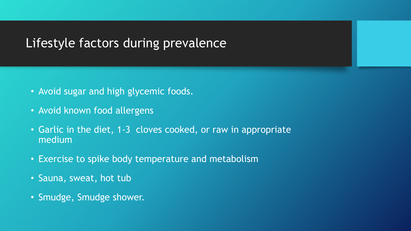#### Lifestyle factors during prevalence

- Avoid sugar and high glycemic foods.
- Avoid known food allergens
- Garlic in the diet, 1-3 cloves cooked, or raw in appropriate medium
- Exercise to spike body temperature and metabolism
- Sauna, sweat, hot tub
- Smudge, Smudge shower.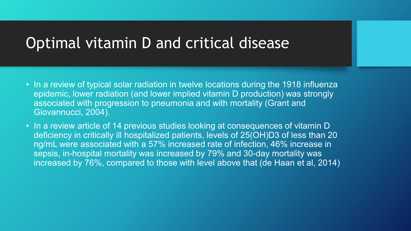# Optimal vitamin D and critical disease

- In a review of typical solar radiation in twelve locations during the 1918 influenza epidemic, lower radiation (and lower implied vitamin D production) was strongly associated with progression to pneumonia and with mortality (Grant and Giovannucci, 2004).
- In a review article of 14 previous studies looking at consequences of vitamin D deficiency in critically ill hospitalized patients, levels of 25(OH)D3 of less than 20 ng/mL were associated with a 57% increased rate of infection, 46% increase in sepsis, in-hospital mortality was increased by 79% and 30-day mortality was increased by 76%, compared to those with level above that (de Haan et al, 2014)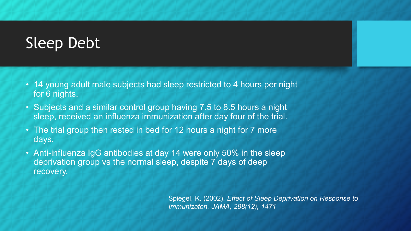# Sleep Debt

- 14 young adult male subjects had sleep restricted to 4 hours per night for 6 nights.
- Subjects and a similar control group having 7.5 to 8.5 hours a night sleep, received an influenza immunization after day four of the trial.
- The trial group then rested in bed for 12 hours a night for 7 more days.
- Anti-influenza IgG antibodies at day 14 were only 50% in the sleep deprivation group vs the normal sleep, despite 7 days of deep recovery.

Spiegel, K. (2002). *Effect of Sleep Deprivation on Response to Immunizaton. JAMA, 288(12), 1471*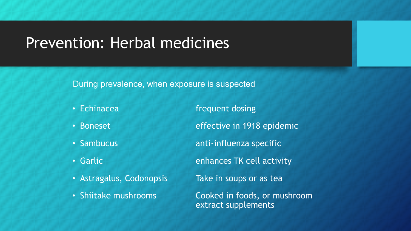### Prevention: Herbal medicines

During prevalence, when exposure is suspected

• Echinacea **frequent dosing** 

- Boneset **effective in 1918 epidemic**
- Sambucus anti-influenza specific
- 
- Astragalus, Codonopsis Take in soups or as tea
- 

• Garlic **East Communist Contract Contract Contract Contract Contract Contract Contract Contract Contract Contract Contract Contract Contract Contract Contract Contract Contract Contract Contract Contract Contract Contract** 

• Shiitake mushrooms Cooked in foods, or mushroom extract supplements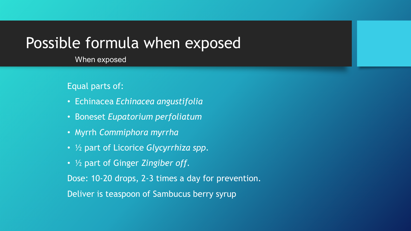#### Possible formula when exposed

When exposed

Equal parts of:

- Echinacea *Echinacea angustifolia*
- Boneset *Eupatorium perfoliatum*
- Myrrh *Commiphora myrrha*
- ½ part of Licorice *Glycyrrhiza spp*.
- ½ part of Ginger *Zingiber off.*

Dose: 10-20 drops, 2-3 times a day for prevention.

Deliver is teaspoon of Sambucus berry syrup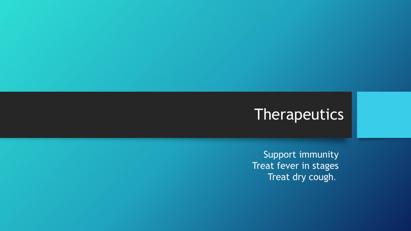# Therapeutics

Support immunity Treat fever in stages Treat dry cough.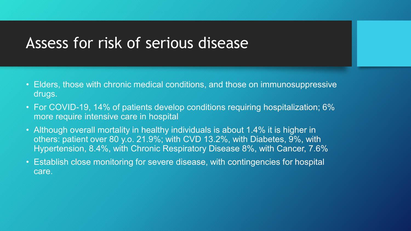#### Assess for risk of serious disease

- Elders, those with chronic medical conditions, and those on immunosuppressive drugs.
- For COVID-19, 14% of patients develop conditions requiring hospitalization; 6% more require intensive care in hospital
- Although overall mortality in healthy individuals is about 1.4% it is higher in others: patient over 80 y.o. 21.9%; with CVD 13.2%, with Diabetes, 9%, with Hypertension, 8.4%, with Chronic Respiratory Disease 8%, with Cancer, 7.6%
- Establish close monitoring for severe disease, with contingencies for hospital care.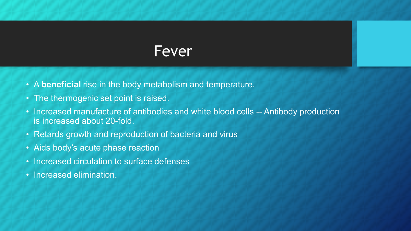#### Fever

- A **beneficial** rise in the body metabolism and temperature.
- The thermogenic set point is raised.
- Increased manufacture of antibodies and white blood cells -- Antibody production is increased about 20-fold.
- Retards growth and reproduction of bacteria and virus
- Aids body's acute phase reaction
- Increased circulation to surface defenses
- Increased elimination.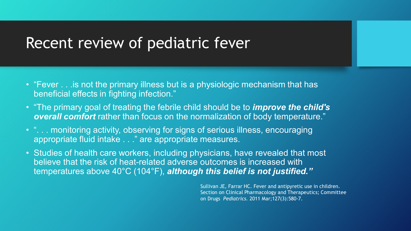#### Recent review of pediatric fever

- "Fever . . .is not the primary illness but is a physiologic mechanism that has beneficial effects in fighting infection."
- "The primary goal of treating the febrile child should be to *improve the child's overall comfort* rather than focus on the normalization of body temperature."
- "... monitoring activity, observing for signs of serious illness, encouraging appropriate fluid intake . . ." are appropriate measures.
- Studies of health care workers, including physicians, have revealed that most believe that the risk of heat-related adverse outcomes is increased with temperatures above 40°C (104°F), *although this belief is not justified."*

Sullivan JE, Farrar HC. Fever and antipyretic use in children. Section on Clinical Pharmacology and Therapeutics; Committee on Drugs *Pediatrics.* 2011 Mar;127(3):580-7.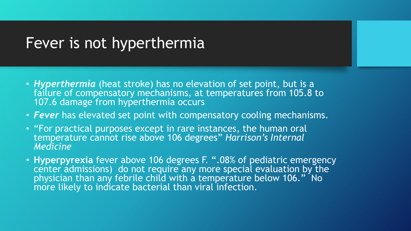#### Fever is not hyperthermia

- *Hyperthermia* (heat stroke) has no elevation of set point, but is a failure of compensatory mechanisms, at temperatures from 105.8 to 107.6 damage from hyperthermia occurs
- *Fever* has elevated set point with compensatory cooling mechanisms.
- "For practical purposes except in rare instances, the human oral temperature cannot rise above 106 degrees" *Harrison's Internal Medicine*
- **Hyperpyrexia** fever above 106 degrees F. ".08% of pediatric emergency center admissions) do not require any more special evaluation by the physician than any febrile child with a temperature below 106." No more likely to indicate bacterial than viral infection.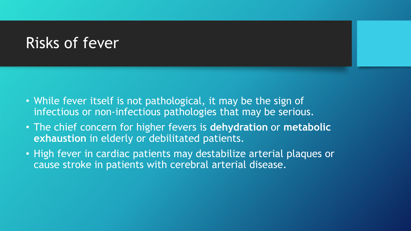## Risks of fever

- While fever itself is not pathological, it may be the sign of infectious or non-infectious pathologies that may be serious.
- The chief concern for higher fevers is **dehydration** or **metabolic exhaustion** in elderly or debilitated patients.
- High fever in cardiac patients may destabilize arterial plaques or cause stroke in patients with cerebral arterial disease.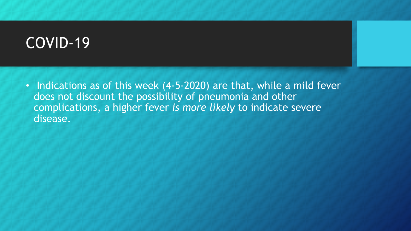# COVID-19

• Indications as of this week (4-5-2020) are that, while a mild fever does not discount the possibility of pneumonia and other complications, a higher fever *is more likely* to indicate severe disease.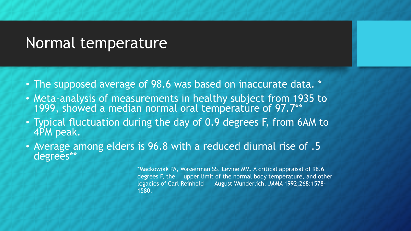## Normal temperature

- The supposed average of 98.6 was based on inaccurate data. \*
- Meta-analysis of measurements in healthy subject from 1935 to 1999, showed a median normal oral temperature of 97.7\*\*
- Typical fluctuation during the day of 0.9 degrees F, from 6AM to 4PM peak.
- Average among elders is 96.8 with a reduced diurnal rise of .5 degrees\*\*

\*Mackowiak PA, Wasserman SS, Levine MM. A critical appraisal of 98.6 degrees F, the upper limit of the normal body temperature, and other legacies of Carl Reinhold August Wunderlich. *JAMA* 1992;268:1578- 1580.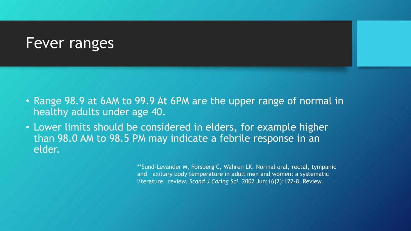#### Fever ranges

- Range 98.9 at 6AM to 99.9 At 6PM are the upper range of normal in healthy adults under age 40.
- Lower limits should be considered in elders, for example higher than 98.0 AM to 98.5 PM may indicate a febrile response in an elder.

\*\*Sund-Levander M, Forsberg C, Wahren LK. Normal oral, rectal, tympanic and axillary body temperature in adult men and women: a systematic literature review. *Scand J Caring Sci*. 2002 Jun;16(2):122-8. Review.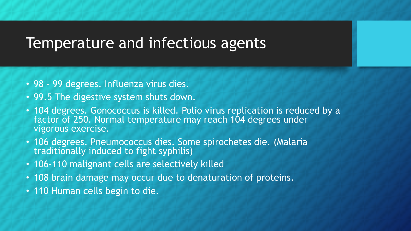#### Temperature and infectious agents

- 98 99 degrees. Influenza virus dies.
- 99.5 The digestive system shuts down.
- 104 degrees. Gonococcus is killed. Polio virus replication is reduced by a factor of 250. Normal temperature may reach 104 degrees under vigorous exercise.
- 106 degrees. Pneumococcus dies. Some spirochetes die. (Malaria traditionally induced to fight syphilis)
- 106-110 malignant cells are selectively killed
- 108 brain damage may occur due to denaturation of proteins.
- 110 Human cells begin to die.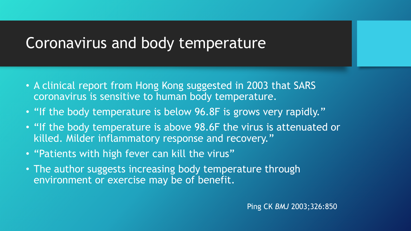# Coronavirus and body temperature

- A clinical report from Hong Kong suggested in 2003 that SARS coronavirus is sensitive to human body temperature.
- "If the body temperature is below 96.8F is grows very rapidly."
- "If the body temperature is above 98.6F the virus is attenuated or killed. Milder inflammatory response and recovery."
- "Patients with high fever can kill the virus"
- The author suggests increasing body temperature through environment or exercise may be of benefit.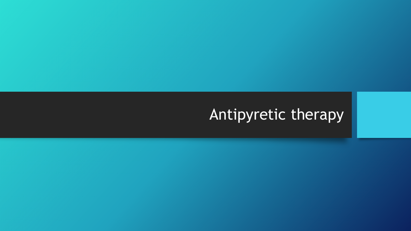# Antipyretic therapy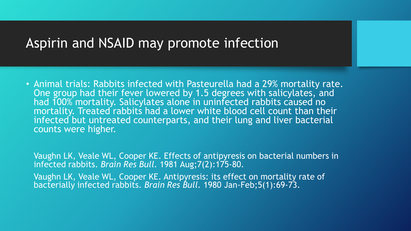#### Aspirin and NSAID may promote infection

• Animal trials: Rabbits infected with Pasteurella had a 29% mortality rate. One group had their fever lowered by 1.5 degrees with salicylates, and had 100% mortality. Salicylates alone in uninfected rabbits caused no mortality. Treated rabbits had a lower white blood cell count than their infected but untreated counterparts, and their lung and liver bacterial counts were higher.

Vaughn LK, Veale WL, Cooper KE. Effects of antipyresis on bacterial numbers in infected rabbits. *Brain Res Bull.* 1981 Aug;7(2):175-80.

Vaughn LK, Veale WL, Cooper KE. Antipyresis: its effect on mortality rate of bacterially infected rabbits. *Brain Res Bull.* 1980 Jan-Feb;5(1):69-73.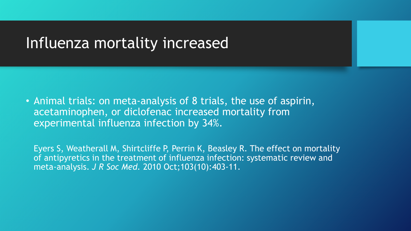#### Influenza mortality increased

• Animal trials: on meta-analysis of 8 trials, the use of aspirin, acetaminophen, or diclofenac increased mortality from experimental influenza infection by 34%.

Eyers S, Weatherall M, Shirtcliffe P, Perrin K, Beasley R. The effect on mortality of antipyretics in the treatment of influenza infection: systematic review and meta-analysis. *J R Soc Med.* 2010 Oct;103(10):403-11.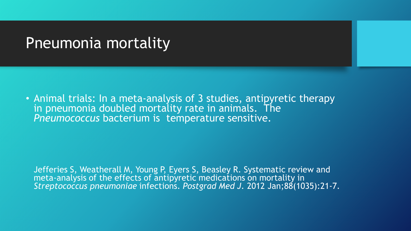### Pneumonia mortality

• Animal trials: In a meta-analysis of 3 studies, antipyretic therapy in pneumonia doubled mortality rate in animals. The *Pneumococcus* bacterium is temperature sensitive.

Jefferies S, Weatherall M, Young P, Eyers S, Beasley R. Systematic review and meta-analysis of the effects of antipyretic medications on mortality in *Streptococcus pneumoniae* infections. *Postgrad Med J.* 2012 Jan;88(1035):21-7.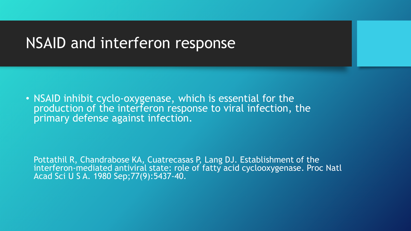#### NSAID and interferon response

• NSAID inhibit cyclo-oxygenase, which is essential for the production of the interferon response to viral infection, the primary defense against infection.

Pottathil R, Chandrabose KA, Cuatrecasas P, Lang DJ. Establishment of the interferon-mediated antiviral state: role of fatty acid cyclooxygenase. Proc Natl Acad Sci U S A. 1980 Sep;77(9):5437-40.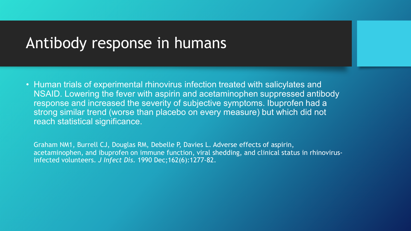#### Antibody response in humans

• Human trials of experimental rhinovirus infection treated with salicylates and NSAID. Lowering the fever with aspirin and acetaminophen suppressed antibody response and increased the severity of subjective symptoms. Ibuprofen had a strong similar trend (worse than placebo on every measure) but which did not reach statistical significance.

Graham NM1, Burrell CJ, Douglas RM, Debelle P, Davies L. Adverse effects of aspirin, acetaminophen, and ibuprofen on immune function, viral shedding, and clinical status in rhinovirusinfected volunteers. *J Infect Dis*. 1990 Dec;162(6):1277-82.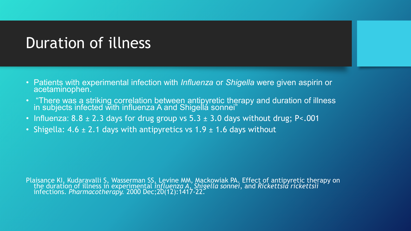# Duration of illness

- Patients with experimental infection with *Influenza* or *Shigella* were given aspirin or acetaminophen.
- "There was a striking correlation between antipyretic therapy and duration of illness in subjects infected with influenza A and Shigellá sonnei"
- Influenza:  $8.8 \pm 2.3$  days for drug group vs  $5.3 \pm 3.0$  days without drug; P<.001
- Shigella: 4.6  $\pm$  2.1 days with antipyretics vs 1.9  $\pm$  1.6 days without

Plaisance KI, Kudaravalli S, Wasserman SS, Levine MM, Mackowiak PA. Effect of antipyretic therapy on the duration of illness in experimental *influenza A*, *Shigella sonnei*, and *Rickettsia rickettsii*  infections. *Pharmacotherapy.* 2000 Dec;20(12):1417-22.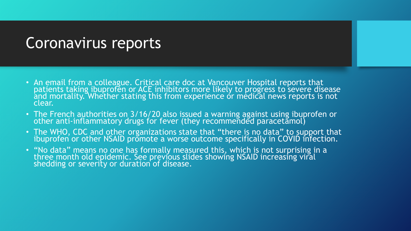#### Coronavirus reports

- An email from a colleague. Critical care doc at Vancouver Hospital reports that patients taking ibuprofen or ACE inhibitors more likely to progress to severe disease and mortality. Whether stating this from experience or medical news reports is not clear.
- The French authorities on 3/16/20 also issued a warning against using ibuprofen or other anti-inflammatory drugs for fever (they recommeñded paracetamol)
- The WHO, CDC and other organizations state that "there is no data" to support that ibuprofen or other NSAID promote a worse outcome specifically in COVID infection.
- "No data" means no one has formally measured this, which is not surprising in a three month old epidemic. See previous slides showing NSAID increasing viral shedding or severity or duration of disease.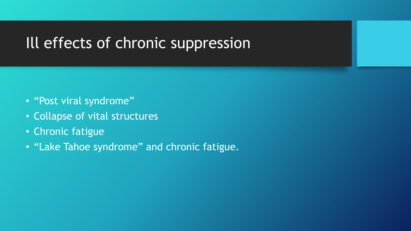# Ill effects of chronic suppression

- "Post viral syndrome"
- Collapse of vital structures
- Chronic fatigue
- "Lake Tahoe syndrome" and chronic fatigue.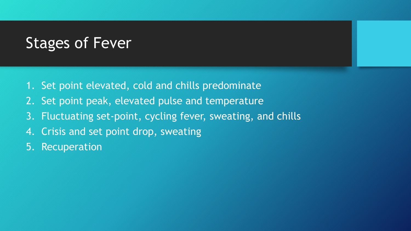# Stages of Fever

- 1. Set point elevated, cold and chills predominate
- 2. Set point peak, elevated pulse and temperature
- 3. Fluctuating set-point, cycling fever, sweating, and chills
- 4. Crisis and set point drop, sweating
- 5. Recuperation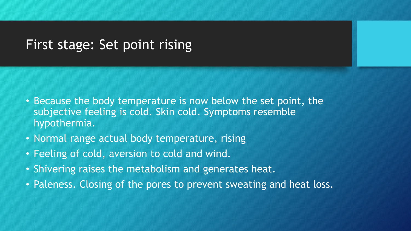#### First stage: Set point rising

- Because the body temperature is now below the set point, the subjective feeling is cold. Skin cold. Symptoms resemble hypothermia.
- Normal range actual body temperature, rising
- Feeling of cold, aversion to cold and wind.
- Shivering raises the metabolism and generates heat.
- Paleness. Closing of the pores to prevent sweating and heat loss.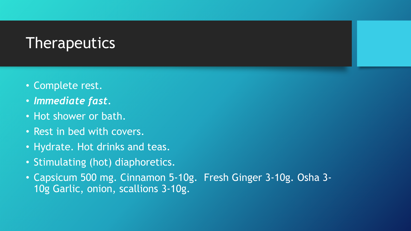## **Therapeutics**

- Complete rest.
- *Immediate fast.*
- Hot shower or bath.
- Rest in bed with covers.
- Hydrate. Hot drinks and teas.
- Stimulating (hot) diaphoretics.
- Capsicum 500 mg. Cinnamon 5-10g. Fresh Ginger 3-10g. Osha 3- 10g Garlic, onion, scallions 3-10g.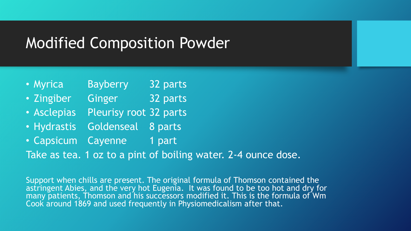### Modified Composition Powder

- Myrica Bayberry 32 parts
- Zingiber Ginger 32 parts
- Asclepias Pleurisy root 32 parts
- Hydrastis Goldenseal 8 parts
- Capsicum Cayenne 1 part

Take as tea. 1 oz to a pint of boiling water. 2-4 ounce dose.

Support when chills are present. The original formula of Thomson contained the astringent Abies, and the very hot Eugenia. It was found to be too hot and dry for many patients, Thomson and his successors modified it. This is the formula of Wm Cook around 1869 and used frequently in Physiomedicalism after that.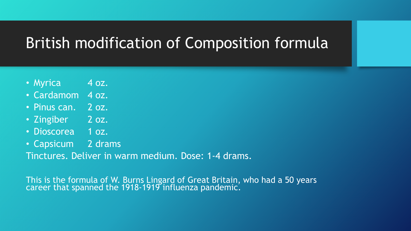# British modification of Composition formula

- Myrica 4 oz.
- Cardamom 4 oz.
- Pinus can. 2 oz.
- Zingiber 2 oz.
- Dioscorea 1 oz.
- Capsicum 2 drams

Tinctures. Deliver in warm medium. Dose: 1-4 drams.

This is the formula of W. Burns Lingard of Great Britain, who had a 50 years career that spanned the 1918-1919 influenza pandemic.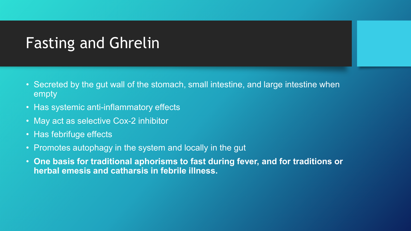# Fasting and Ghrelin

- Secreted by the gut wall of the stomach, small intestine, and large intestine when empty
- Has systemic anti-inflammatory effects
- May act as selective Cox-2 inhibitor
- Has febrifuge effects
- Promotes autophagy in the system and locally in the gut
- **One basis for traditional aphorisms to fast during fever, and for traditions or herbal emesis and catharsis in febrile illness.**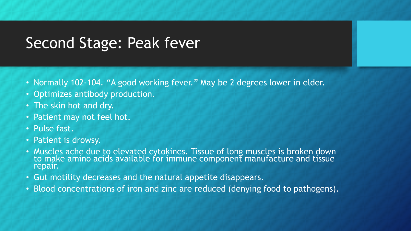# Second Stage: Peak fever

- Normally 102-104. "A good working fever." May be 2 degrees lower in elder.
- Optimizes antibody production.
- The skin hot and dry.
- Patient may not feel hot.
- Pulse fast.
- Patient is drowsy.
- Muscles ache due to elevated cytokines. Tissue of long muscles is broken down to make amino acids available for immune component manufacture and tissue repair.
- Gut motility decreases and the natural appetite disappears.
- Blood concentrations of iron and zinc are reduced (denying food to pathogens).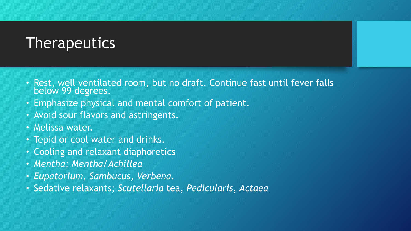## **Therapeutics**

- Rest, well ventilated room, but no draft. Continue fast until fever falls below 99 degrees.
- Emphasize physical and mental comfort of patient.
- Avoid sour flavors and astringents.
- Melissa water.
- Tepid or cool water and drinks.
- Cooling and relaxant diaphoretics
- *Mentha; Mentha/Achillea*
- *Eupatorium, Sambucus, Verbena*.
- Sedative relaxants; *Scutellaria* tea, *Pedicularis*, *Actaea*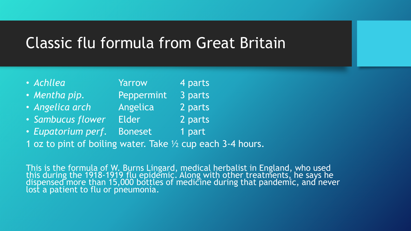# Classic flu formula from Great Britain

| · Achllea                                        | Yarrow         | 4 parts |
|--------------------------------------------------|----------------|---------|
| · Mentha pip.                                    | Peppermint     | 3 parts |
| · Angelica arch                                  | Angelica       | 2 parts |
| · Sambucus flower                                | <b>Elder</b>   | 2 parts |
| • Eupatorium perf.                               | <b>Boneset</b> | 1 part  |
| 1 oz to pint of boiling water. Take 1/2 cup each |                |         |

This is the formula of W. Burns Lingard, medical herbalist in England, who used this during the 1918-1919 flu epidemic. Along with other treatments, he says he<br>dispensed more than 15,000 bottles of medicine during that pandemic, and never lost a patient to flu or pneumonia.

 $3 - 4$  hours.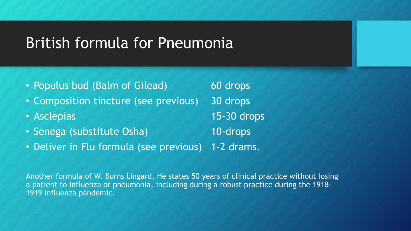# British formula for Pneumonia

| • Populus bud (Balm of Gilead)                     | 60 drops    |
|----------------------------------------------------|-------------|
| • Composition tincture (see previous)              | 30 drops    |
| • Asclepias                                        | 15-30 drops |
| • Senega (substitute Osha)                         | 10-drops    |
| • Deliver in Flu formula (see previous) 1-2 drams. |             |

Another formula of W. Burns Lingard. He states 50 years of clinical practice without losing a patient to influenza or pneumonia, including during a robust practice during the 1918- 1919 Influenza pandemic.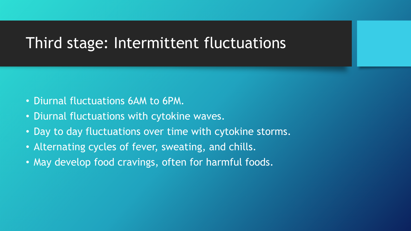# Third stage: Intermittent fluctuations

- Diurnal fluctuations 6AM to 6PM.
- Diurnal fluctuations with cytokine waves.
- Day to day fluctuations over time with cytokine storms.
- Alternating cycles of fever, sweating, and chills.
- May develop food cravings, often for harmful foods.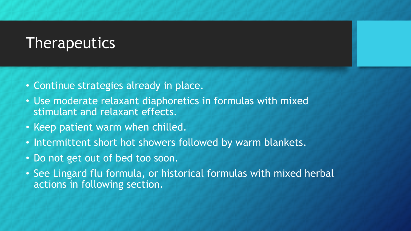### **Therapeutics**

- Continue strategies already in place.
- Use moderate relaxant diaphoretics in formulas with mixed stimulant and relaxant effects.
- Keep patient warm when chilled.
- Intermittent short hot showers followed by warm blankets.
- Do not get out of bed too soon.
- See Lingard flu formula, or historical formulas with mixed herbal actions in following section.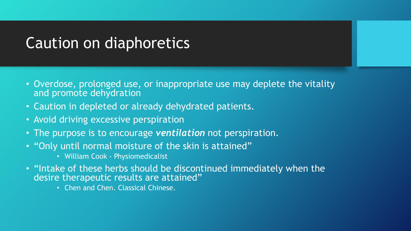# Caution on diaphoretics

- Overdose, prolonged use, or inappropriate use may deplete the vitality and promote dehydration
- Caution in depleted or already dehydrated patients.
- Avoid driving excessive perspiration
- The purpose is to encourage *ventilation* not perspiration.
- "Only until normal moisture of the skin is attained"
	- William Cook Physiomedicalist
- "Intake of these herbs should be discontinued immediately when the desire therapeutic results are attained"
	- Chen and Chen. Classical Chinese.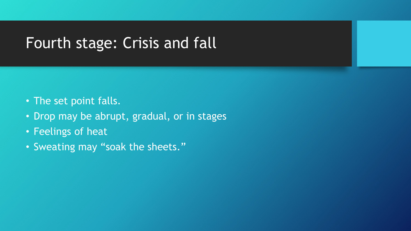# Fourth stage: Crisis and fall

- The set point falls.
- Drop may be abrupt, gradual, or in stages
- Feelings of heat
- Sweating may "soak the sheets."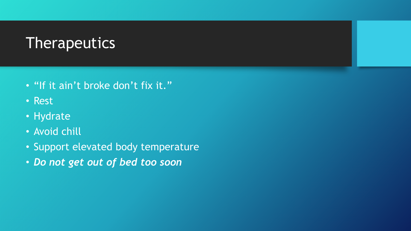# **Therapeutics**

- "If it ain't broke don't fix it."
- Rest
- Hydrate
- Avoid chill
- Support elevated body temperature
- *Do not get out of bed too soon*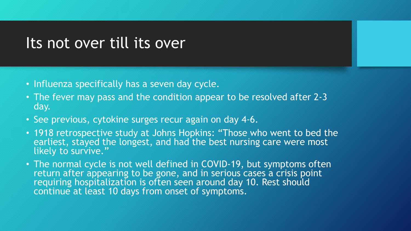#### Its not over till its over

- Influenza specifically has a seven day cycle.
- The fever may pass and the condition appear to be resolved after 2-3 day.
- See previous, cytokine surges recur again on day 4-6.
- 1918 retrospective study at Johns Hopkins: "Those who went to bed the earliest, stayed the longest, and had the best nursing care were most likely to survive."
- The normal cycle is not well defined in COVID-19, but symptoms often return after appearing to be gone, and in serious cases a crisis point requiring hospitalization is often seen around day 10. Rest should continue at least 10 days from onset of symptoms.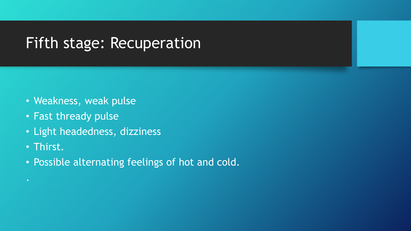# Fifth stage: Recuperation

- Weakness, weak pulse
- Fast thready pulse
- Light headedness, dizziness
- Thirst.
- Possible alternating feelings of hot and cold.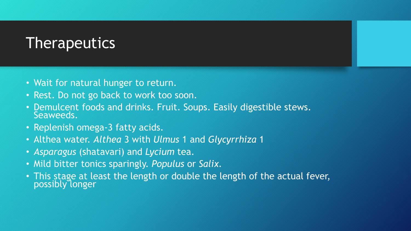## **Therapeutics**

- Wait for natural hunger to return.
- Rest. Do not go back to work too soon.
- Demulcent foods and drinks. Fruit. Soups. Easily digestible stews. Seaweeds.
- Replenish omega-3 fatty acids.
- Althea water. *Althea* 3 with *Ulmus* 1 and *Glycyrrhiza* 1
- *Asparagus* (shatavari) and *Lycium* tea.
- Mild bitter tonics sparingly. *Populus* or *Salix.*
- This stage at least the length or double the length of the actual fever, possibly longer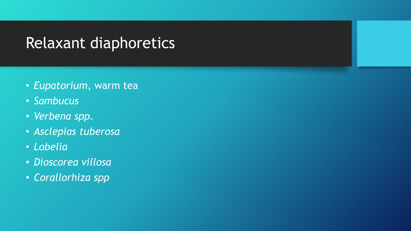# Relaxant diaphoretics

- *Eupatorium*, warm tea
- *Sambucus*
- *Verbena spp.*
- *Asclepias tuberosa*
- *Lobelia*
- *Dioscorea villosa*
- *Corallorhiza spp*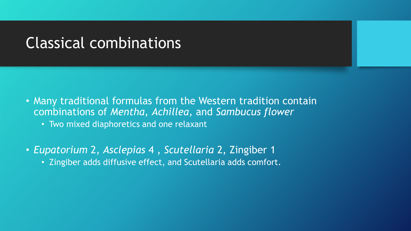#### Classical combinations

- Many traditional formulas from the Western tradition contain combinations of *Mentha, Achillea,* and *Sambucus flower*
	- Two mixed diaphoretics and one relaxant
- *Eupatorium* 2, *Asclepias* 4 , *Scutellaria* 2, Zingiber 1 • Zingiber adds diffusive effect, and Scutellaria adds comfort.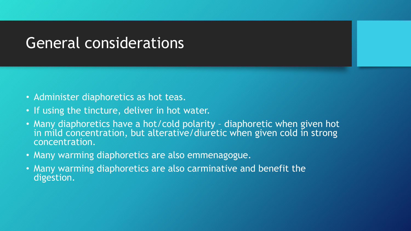# General considerations

- Administer diaphoretics as hot teas.
- If using the tincture, deliver in hot water.
- Many diaphoretics have a hot/cold polarity diaphoretic when given hot in mild concentration, but alterative/diuretic when given cold in strong concentration.
- Many warming diaphoretics are also emmenagogue.
- Many warming diaphoretics are also carminative and benefit the digestion.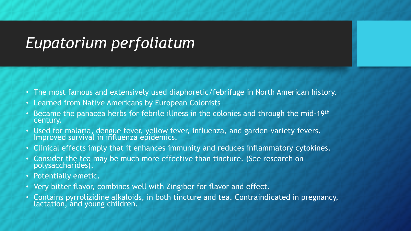# *Eupatorium perfoliatum*

- The most famous and extensively used diaphoretic/febrifuge in North American history.
- Learned from Native Americans by European Colonists
- Became the panacea herbs for febrile illness in the colonies and through the mid-19<sup>th</sup> century.
- Used for malaria, dengue fever, yellow fever, influenza, and garden-variety fevers. Improved survival in influenza epidemics.
- Clinical effects imply that it enhances immunity and reduces inflammatory cytokines.
- Consider the tea may be much more effective than tincture. (See research on polysaccharides).
- Potentially emetic.
- Very bitter flavor, combines well with Zingiber for flavor and effect.
- Contains pyrrolizidine alkaloids, in both tincture and tea. Contraindicated in pregnancy, lactation, and young children.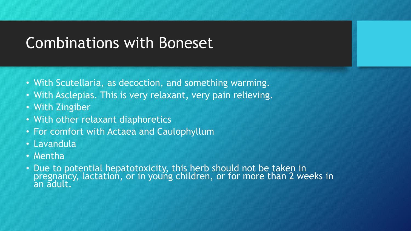# Combinations with Boneset

- With Scutellaria, as decoction, and something warming.
- With Asclepias. This is very relaxant, very pain relieving.
- With Zingiber
- With other relaxant diaphoretics
- For comfort with Actaea and Caulophyllum
- Lavandula
- Mentha
- Due to potential hepatotoxicity, this herb should not be taken in pregnancy, lactation, or in young children, or for more than 2 weeks in an adult.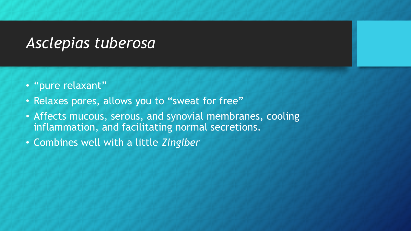# *Asclepias tuberosa*

- "pure relaxant"
- Relaxes pores, allows you to "sweat for free"
- Affects mucous, serous, and synovial membranes, cooling inflammation, and facilitating normal secretions.
- Combines well with a little *Zingiber*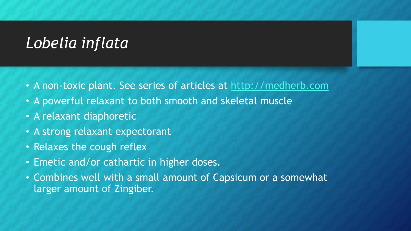# *Lobelia inflata*

- A non-toxic plant. See series of articles at [http://medherb.com](http://medherb.com/)
- A powerful relaxant to both smooth and skeletal muscle
- A relaxant diaphoretic
- A strong relaxant expectorant
- Relaxes the cough reflex
- Emetic and/or cathartic in higher doses.
- Combines well with a small amount of Capsicum or a somewhat larger amount of Zingiber.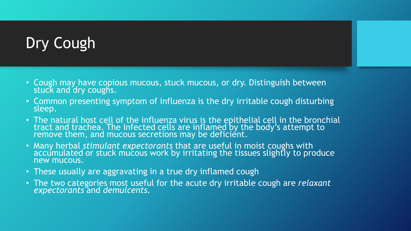# Dry Cough

- Cough may have copious mucous, stuck mucous, or dry. Distinguish between stuck and dry coughs.
- Common presenting symptom of influenza is the dry irritable cough disturbing sleep.
- The natural host cell of the influenza virus is the epithelial cell in the bronchial tract and trachea. The infected cells are inflamed by the body's attempt to remove them, and mucous secretions may be deficient.
- Many herbal *stimulant expectorants* that are useful in moist coughs with <br>accumulated or stuck mucous work by irritating the tissues slightly to produce new mucous.
- These usually are aggravating in a true dry inflamed cough
- The two categories most useful for the acute dry irritable cough are *relaxant expectorants* and *demulcents.*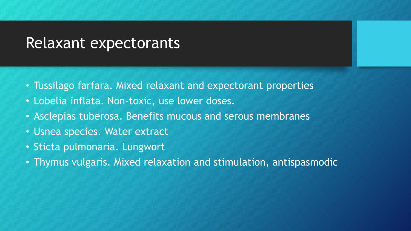#### Relaxant expectorants

- Tussilago farfara. Mixed relaxant and expectorant properties
- Lobelia inflata. Non-toxic, use lower doses.
- Asclepias tuberosa. Benefits mucous and serous membranes
- Usnea species. Water extract
- Sticta pulmonaria. Lungwort
- Thymus vulgaris. Mixed relaxation and stimulation, antispasmodic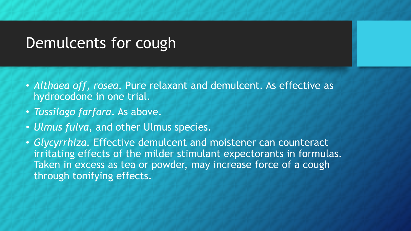#### Demulcents for cough

- *Althaea off, rosea*. Pure relaxant and demulcent. As effective as hydrocodone in one trial.
- *Tussilago farfara*. As above.
- *Ulmus fulva*, and other Ulmus species.
- *Glycyrrhiza.* Effective demulcent and moistener can counteract irritating effects of the milder stimulant expectorants in formulas. Taken in excess as tea or powder, may increase force of a cough through tonifying effects.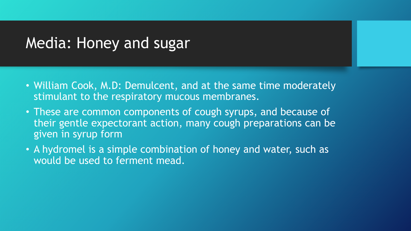### Media: Honey and sugar

- William Cook, M.D: Demulcent, and at the same time moderately stimulant to the respiratory mucous membranes.
- These are common components of cough syrups, and because of their gentle expectorant action, many cough preparations can be given in syrup form
- A hydromel is a simple combination of honey and water, such as would be used to ferment mead.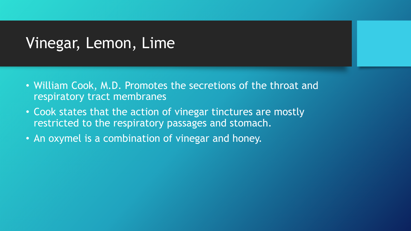## Vinegar, Lemon, Lime

- William Cook, M.D. Promotes the secretions of the throat and respiratory tract membranes
- Cook states that the action of vinegar tinctures are mostly restricted to the respiratory passages and stomach.
- An oxymel is a combination of vinegar and honey.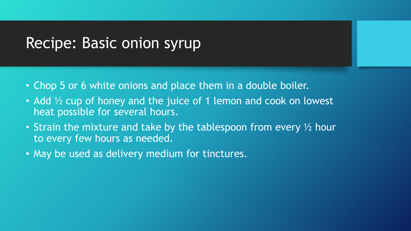### Recipe: Basic onion syrup

- Chop 5 or 6 white onions and place them in a double boiler.
- Add 1/2 cup of honey and the juice of 1 lemon and cook on lowest heat possible for several hours.
- Strain the mixture and take by the tablespoon from every  $\frac{1}{2}$  hour to every few hours as needed.
- May be used as delivery medium for tinctures.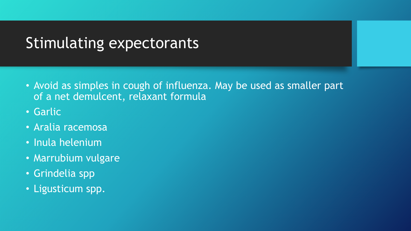# Stimulating expectorants

- Avoid as simples in cough of influenza. May be used as smaller part of a net demulcent, relaxant formula
- Garlic
- Aralia racemosa
- Inula helenium
- Marrubium vulgare
- Grindelia spp
- Ligusticum spp.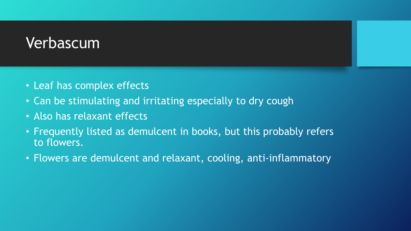## Verbascum

- Leaf has complex effects
- Can be stimulating and irritating especially to dry cough
- Also has relaxant effects
- Frequently listed as demulcent in books, but this probably refers to flowers.
- Flowers are demulcent and relaxant, cooling, anti-inflammatory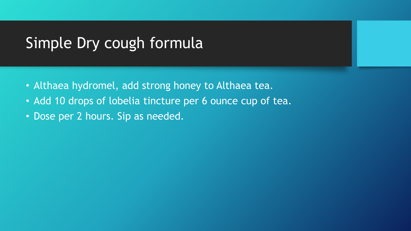# Simple Dry cough formula

- Althaea hydromel, add strong honey to Althaea tea.
- Add 10 drops of lobelia tincture per 6 ounce cup of tea.
- Dose per 2 hours. Sip as needed.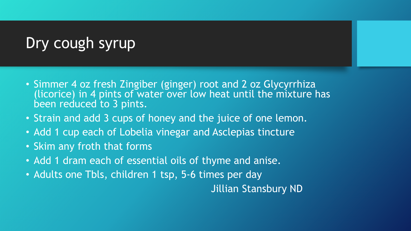# Dry cough syrup

- Simmer 4 oz fresh Zingiber (ginger) root and 2 oz Glycyrrhiza (licorice) in 4 pints of water over low heat until the mixture has been reduced to 3 pints.
- Strain and add 3 cups of honey and the juice of one lemon.
- Add 1 cup each of Lobelia vinegar and Asclepias tincture
- Skim any froth that forms
- Add 1 dram each of essential oils of thyme and anise.
- Adults one Tbls, children 1 tsp, 5-6 times per day

Jillian Stansbury ND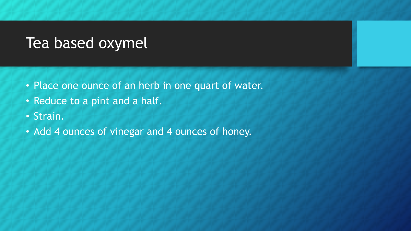## Tea based oxymel

- Place one ounce of an herb in one quart of water.
- Reduce to a pint and a half.
- Strain.
- Add 4 ounces of vinegar and 4 ounces of honey.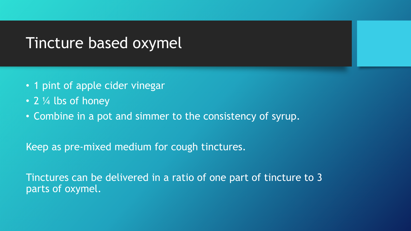#### Tincture based oxymel

- 1 pint of apple cider vinegar
- 2 1/4 lbs of honey
- Combine in a pot and simmer to the consistency of syrup.

Keep as pre-mixed medium for cough tinctures.

Tinctures can be delivered in a ratio of one part of tincture to 3 parts of oxymel.